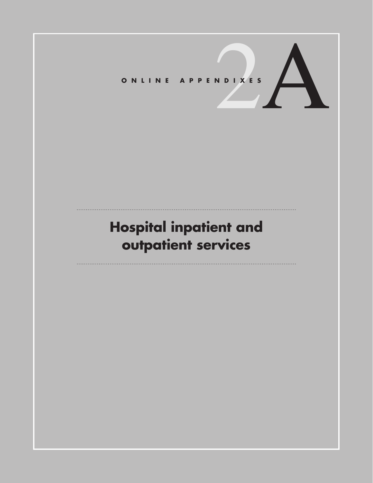O N L I N E A P P E N D I X E S

# **Hospital inpatient and outpatient services**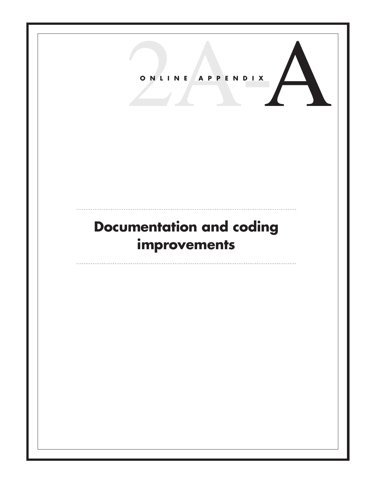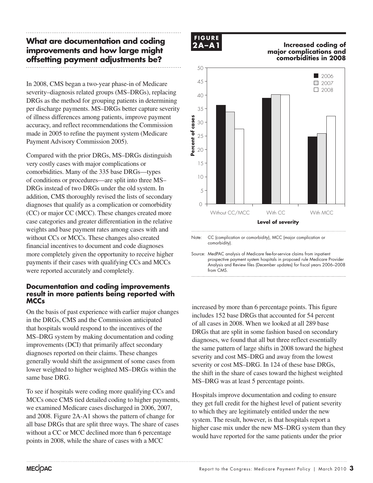# **What are documentation and coding improvements and how large might offsetting payment adjustments be?**

In 2008, CMS began a two-year phase-in of Medicare severity–diagnosis related groups (MS–DRGs), replacing DRGs as the method for grouping patients in determining per discharge payments. MS–DRGs better capture severity of illness differences among patients, improve payment accuracy, and reflect recommendations the Commission made in 2005 to refine the payment system (Medicare Payment Advisory Commission 2005).

Compared with the prior DRGs, MS–DRGs distinguish very costly cases with major complications or comorbidities. Many of the 335 base DRGs—types of conditions or procedures—are split into three MS– DRGs instead of two DRGs under the old system. In addition, CMS thoroughly revised the lists of secondary diagnoses that qualify as a complication or comorbidity (CC) or major CC (MCC). These changes created more case categories and greater differentiation in the relative weights and base payment rates among cases with and without CCs or MCCs. These changes also created financial incentives to document and code diagnoses more completely given the opportunity to receive higher payments if their cases with qualifying CCs and MCCs were reported accurately and completely.

### **Documentation and coding improvements result in more patients being reported with MCCs**

On the basis of past experience with earlier major changes in the DRGs, CMS and the Commission anticipated that hospitals would respond to the incentives of the MS–DRG system by making documentation and coding improvements (DCI) that primarily affect secondary diagnoses reported on their claims. These changes generally would shift the assignment of some cases from lower weighted to higher weighted MS–DRGs within the same base DRG.

To see if hospitals were coding more qualifying CCs and MCCs once CMS tied detailed coding to higher payments, we examined Medicare cases discharged in 2006, 2007, and 2008. Figure 2A-A1 shows the pattern of change for all base DRGs that are split three ways. The share of cases without a CC or MCC declined more than 6 percentage points in 2008, while the share of cases with a MCC



#### **Increased coding of major complications and comorbidities in 2008 Increased coding..... FIGURE**



Note: CC (complication or comorbidity), MCC (major complication or comorbidity).

Source: MedPAC analysis of Medicare fee-for-service claims from inpatient prospective payment system hospitals in proposed rule Medicare Provider Analysis and Review files (December updates) for fiscal years 2006–2008 from CMS

increased by more than 6 percentage points. This figure includes 152 base DRGs that accounted for 54 percent of all cases in 2008. When we looked at all 289 base or an eases in 2000. When we fooked at an 209 base<br>DRGs that are split in some fashion based on secondary diagnoses, we found that all but three reflect essentially the same pattern of large shifts in 2008 toward the highest severity and cost MS–DRG and away from the lowest severity or cost MS–DRG. In 124 of these base DRGs, the shift in the share of cases toward the highest weighted MS–DRG was at least 5 percentage points.

Hospitals improve documentation and coding to ensure they get full credit for the highest level of patient severity to which they are legitimately entitled under the new system. The result, however, is that hospitals report a higher case mix under the new MS–DRG system than they would have reported for the same patients under the prior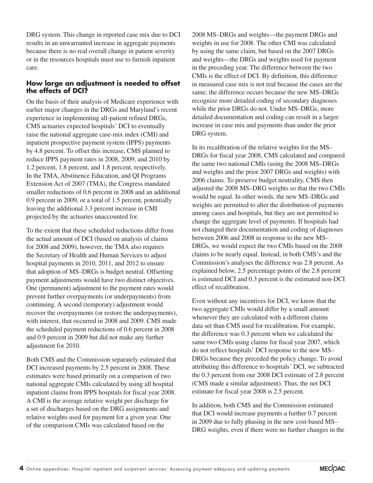DRG system. This change in reported case mix due to DCI results in an unwarranted increase in aggregate payments because there is no real overall change in patient severity or in the resources hospitals must use to furnish inpatient care.

## **How large an adjustment is needed to offset the effects of DCI?**

On the basis of their analysis of Medicare experience with earlier major changes in the DRGs and Maryland's recent experience in implementing all-patient refined DRGs, CMS actuaries expected hospitals' DCI to eventually raise the national aggregate case-mix index (CMI) and inpatient prospective payment system (IPPS) payments by 4.8 percent. To offset this increase, CMS planned to reduce IPPS payment rates in 2008, 2009, and 2010 by 1.2 percent, 1.8 percent, and 1.8 percent, respectively. In the TMA, Abstinence Education, and QI Programs Extension Act of 2007 (TMA), the Congress mandated smaller reductions of 0.6 percent in 2008 and an additional 0.9 percent in 2009, or a total of 1.5 percent, potentially leaving the additional 3.3 percent increase in CMI projected by the actuaries unaccounted for.

To the extent that these scheduled reductions differ from the actual amount of DCI (based on analysis of claims for 2008 and 2009), however, the TMA also requires the Secretary of Health and Human Services to adjust hospital payments in 2010, 2011, and 2012 to ensure that adoption of MS–DRGs is budget neutral. Offsetting payment adjustments would have two distinct objectives. One (permanent) adjustment to the payment rates would prevent further overpayments (or underpayments) from continuing. A second (temporary) adjustment would recover the overpayments (or restore the underpayments), with interest, that occurred in 2008 and 2009. CMS made the scheduled payment reductions of 0.6 percent in 2008 and 0.9 percent in 2009 but did not make any further adjustment for 2010.

Both CMS and the Commission separately estimated that DCI increased payments by 2.5 percent in 2008. These estimates were based primarily on a comparison of two national aggregate CMIs calculated by using all hospital inpatient claims from IPPS hospitals for fiscal year 2008. A CMI is the average relative weight per discharge for a set of discharges based on the DRG assignments and relative weights used for payment for a given year. One of the comparison CMIs was calculated based on the

2008 MS–DRGs and weights—the payment DRGs and weights in use for 2008. The other CMI was calculated by using the same claim, but based on the 2007 DRGs and weights—the DRGs and weights used for payment in the preceding year. The difference between the two CMIs is the effect of DCI. By definition, this difference in measured case mix is not real because the cases are the same; the difference occurs because the new MS–DRGs recognize more detailed coding of secondary diagnoses while the prior DRGs do not. Under MS–DRGs, more detailed documentation and coding can result in a larger increase in case mix and payments than under the prior DRG system.

In its recalibration of the relative weights for the MS– DRGs for fiscal year 2008, CMS calculated and compared the same two national CMIs (using the 2008 MS–DRGs and weights and the prior 2007 DRGs and weights) with 2006 claims. To preserve budget neutrality, CMS then adjusted the 2008 MS–DRG weights so that the two CMIs would be equal. In other words, the new MS–DRGs and weights are permitted to alter the distribution of payments among cases and hospitals, but they are not permitted to change the aggregate level of payments. If hospitals had not changed their documentation and coding of diagnoses between 2006 and 2008 in response to the new MS– DRGs, we would expect the two CMIs based on the 2008 claims to be nearly equal. Instead, in both CMS's and the Commission's analyses the difference was 2.8 percent. As explained below, 2.5 percentage points of the 2.8 percent is estimated DCI and 0.3 percent is the estimated non-DCI effect of recalibration.

Even without any incentives for DCI, we know that the two aggregate CMIs would differ by a small amount whenever they are calculated with a different claims data set than CMS used for recalibration. For example, the difference was 0.3 percent when we calculated the same two CMIs using claims for fiscal year 2007, which do not reflect hospitals' DCI response to the new MS– DRGs because they preceded the policy change. To avoid attributing this difference to hospitals' DCI, we subtracted the 0.3 percent from our 2008 DCI estimate of 2.8 percent (CMS made a similar adjustment). Thus, the net DCI estimate for fiscal year 2008 is 2.5 percent.

In addition, both CMS and the Commission estimated that DCI would increase payments a further 0.7 percent in 2009 due to fully phasing in the new cost-based MS– DRG weights, even if there were no further changes in the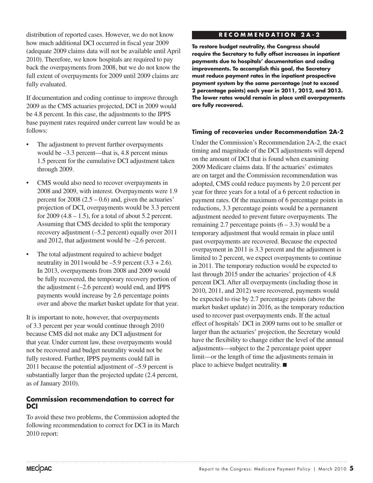distribution of reported cases. However, we do not know how much additional DCI occurred in fiscal year 2009 (adequate 2009 claims data will not be available until April 2010). Therefore, we know hospitals are required to pay back the overpayments from 2008, but we do not know the full extent of overpayments for 2009 until 2009 claims are fully evaluated.

If documentation and coding continue to improve through 2009 as the CMS actuaries projected, DCI in 2009 would be 4.8 percent. In this case, the adjustments to the IPPS base payment rates required under current law would be as follows:

- The adjustment to prevent further overpayments would be –3.3 percent—that is, 4.8 percent minus 1.5 percent for the cumulative DCI adjustment taken through 2009.
- CMS would also need to recover overpayments in 2008 and 2009, with interest. Overpayments were 1.9 percent for  $2008$  (2.5 – 0.6) and, given the actuaries' projection of DCI, overpayments would be 3.3 percent for  $2009$  (4.8 – 1.5), for a total of about 5.2 percent. Assuming that CMS decided to split the temporary recovery adjustment (–5.2 percent) equally over 2011 and 2012, that adjustment would be –2.6 percent.
- The total adjustment required to achieve budget neutrality in 2011 would be  $-5.9$  percent  $(3.3 + 2.6)$ . In 2013, overpayments from 2008 and 2009 would be fully recovered, the temporary recovery portion of the adjustment (–2.6 percent) would end, and IPPS payments would increase by 2.6 percentage points over and above the market basket update for that year.

It is important to note, however, that overpayments of 3.3 percent per year would continue through 2010 because CMS did not make any DCI adjustment for that year. Under current law, these overpayments would not be recovered and budget neutrality would not be fully restored. Further, IPPS payments could fall in 2011 because the potential adjustment of –5.9 percent is substantially larger than the projected update (2.4 percent, as of January 2010).

### **Commission recommendation to correct for DCI**

To avoid these two problems, the Commission adopted the following recommendation to correct for DCI in its March 2010 report:

### **R E C O M M E N D A T I O N 2 A - 2**

**To restore budget neutrality, the Congress should require the Secretary to fully offset increases in inpatient payments due to hospitals' documentation and coding improvements. To accomplish this goal, the Secretary must reduce payment rates in the inpatient prospective payment system by the same percentage (not to exceed 2 percentage points) each year in 2011, 2012, and 2013. The lower rates would remain in place until overpayments are fully recovered.**

#### **Timing of recoveries under Recommendation 2A-2**

Under the Commission's Recommendation 2A-2, the exact timing and magnitude of the DCI adjustments will depend on the amount of DCI that is found when examining 2009 Medicare claims data. If the actuaries' estimates are on target and the Commission recommendation was adopted, CMS could reduce payments by 2.0 percent per year for three years for a total of a 6 percent reduction in payment rates. Of the maximum of 6 percentage points in reductions, 3.3 percentage points would be a permanent adjustment needed to prevent future overpayments. The remaining 2.7 percentage points  $(6 - 3.3)$  would be a temporary adjustment that would remain in place until past overpayments are recovered. Because the expected overpayment in 2011 is 3.3 percent and the adjustment is limited to 2 percent, we expect overpayments to continue in 2011. The temporary reduction would be expected to last through 2015 under the actuaries' projection of 4.8 percent DCI. After all overpayments (including those in 2010, 2011, and 2012) were recovered, payments would be expected to rise by 2.7 percentage points (above the market basket update) in 2016, as the temporary reduction used to recover past overpayments ends. If the actual effect of hospitals' DCI in 2009 turns out to be smaller or larger than the actuaries' projection, the Secretary would have the flexibility to change either the level of the annual adjustments—subject to the 2 percentage point upper limit—or the length of time the adjustments remain in place to achieve budget neutrality. ■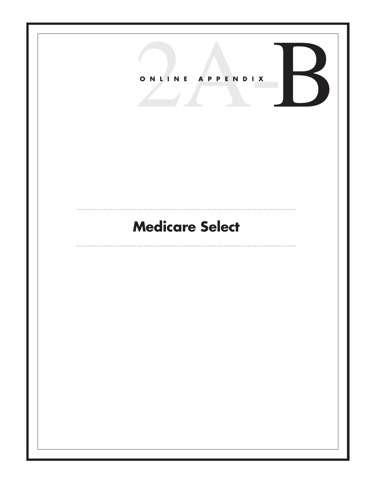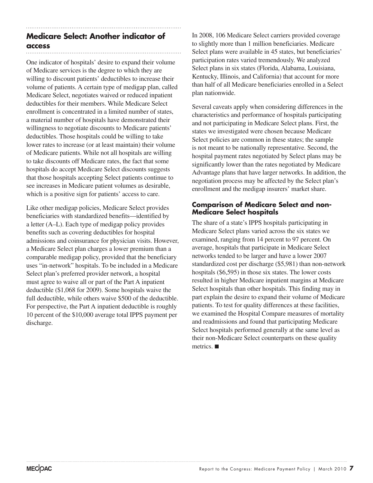#### **Medicare Select: Another indicator of access**

One indicator of hospitals' desire to expand their volume of Medicare services is the degree to which they are willing to discount patients' deductibles to increase their volume of patients. A certain type of medigap plan, called Medicare Select, negotiates waived or reduced inpatient deductibles for their members. While Medicare Select enrollment is concentrated in a limited number of states, a material number of hospitals have demonstrated their willingness to negotiate discounts to Medicare patients' deductibles. Those hospitals could be willing to take lower rates to increase (or at least maintain) their volume of Medicare patients. While not all hospitals are willing to take discounts off Medicare rates, the fact that some hospitals do accept Medicare Select discounts suggests that those hospitals accepting Select patients continue to see increases in Medicare patient volumes as desirable, which is a positive sign for patients' access to care.

Like other medigap policies, Medicare Select provides beneficiaries with standardized benefits—identified by a letter (A–L). Each type of medigap policy provides benefits such as covering deductibles for hospital admissions and coinsurance for physician visits. However, a Medicare Select plan charges a lower premium than a comparable medigap policy, provided that the beneficiary uses "in-network" hospitals. To be included in a Medicare Select plan's preferred provider network, a hospital must agree to waive all or part of the Part A inpatient deductible (\$1,068 for 2009). Some hospitals waive the full deductible, while others waive \$500 of the deductible. For perspective, the Part A inpatient deductible is roughly 10 percent of the \$10,000 average total IPPS payment per discharge.

In 2008, 106 Medicare Select carriers provided coverage to slightly more than 1 million beneficiaries. Medicare Select plans were available in 45 states, but beneficiaries' participation rates varied tremendously. We analyzed Select plans in six states (Florida, Alabama, Louisiana, Kentucky, Illinois, and California) that account for more than half of all Medicare beneficiaries enrolled in a Select plan nationwide.

Several caveats apply when considering differences in the characteristics and performance of hospitals participating and not participating in Medicare Select plans. First, the states we investigated were chosen because Medicare Select policies are common in these states; the sample is not meant to be nationally representative. Second, the hospital payment rates negotiated by Select plans may be significantly lower than the rates negotiated by Medicare Advantage plans that have larger networks. In addition, the negotiation process may be affected by the Select plan's enrollment and the medigap insurers' market share.

## **Comparison of Medicare Select and non-Medicare Select hospitals**

The share of a state's IPPS hospitals participating in Medicare Select plans varied across the six states we examined, ranging from 14 percent to 97 percent. On average, hospitals that participate in Medicare Select networks tended to be larger and have a lower 2007 standardized cost per discharge (\$5,981) than non-network hospitals (\$6,595) in those six states. The lower costs resulted in higher Medicare inpatient margins at Medicare Select hospitals than other hospitals. This finding may in part explain the desire to expand their volume of Medicare patients. To test for quality differences at these facilities, we examined the Hospital Compare measures of mortality and readmissions and found that participating Medicare Select hospitals performed generally at the same level as their non-Medicare Select counterparts on these quality metrics. ■